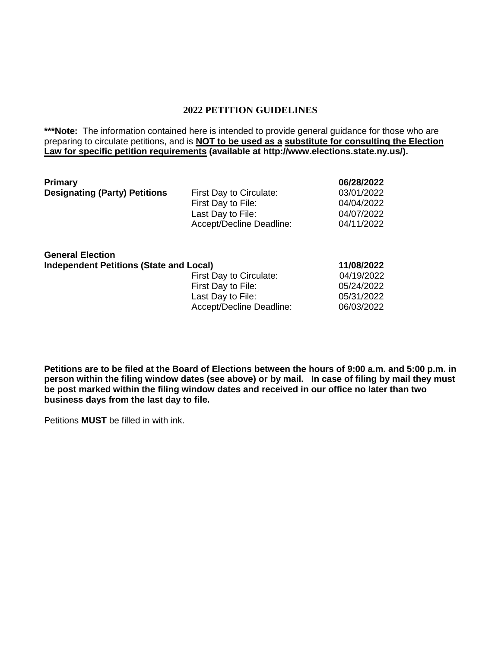#### **2022 PETITION GUIDELINES**

\*\*\*Note: The information contained here is intended to provide general guidance for those who are preparing to circulate petitions, and is **NOT to be used as a substitute for consulting the Election Law for specific petition requirements (available at http://www.elections.state.ny.us/).**

| <b>Primary</b>                       |                          | 06/28/2022 |
|--------------------------------------|--------------------------|------------|
| <b>Designating (Party) Petitions</b> | First Day to Circulate:  | 03/01/2022 |
|                                      | First Day to File:       | 04/04/2022 |
|                                      | Last Day to File:        | 04/07/2022 |
|                                      | Accept/Decline Deadline: | 04/11/2022 |
|                                      |                          |            |

| <b>General Election</b>                        |                          |            |
|------------------------------------------------|--------------------------|------------|
| <b>Independent Petitions (State and Local)</b> |                          | 11/08/2022 |
|                                                | First Day to Circulate:  | 04/19/2022 |
|                                                | First Day to File:       | 05/24/2022 |
|                                                | Last Day to File:        | 05/31/2022 |
|                                                | Accept/Decline Deadline: | 06/03/2022 |
|                                                |                          |            |

**Petitions are to be filed at the Board of Elections between the hours of 9:00 a.m. and 5:00 p.m. in person within the filing window dates (see above) or by mail. In case of filing by mail they must be post marked within the filing window dates and received in our office no later than two business days from the last day to file.**

Petitions **MUST** be filled in with ink.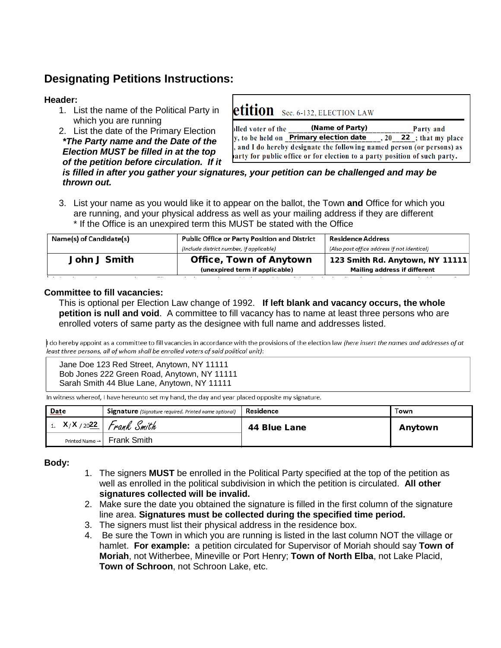## **Designating Petitions Instructions:**

#### **Header:**

- 1. List the name of the Political Party in which you are running
- 2. List the date of the Primary Election *\*The Party name and the Date of the Election MUST be filled in at the top of the petition before circulation. If it*

| etition Sec. 6-132, ELECTION LAW                                                  |           |
|-----------------------------------------------------------------------------------|-----------|
| plled voter of the (Name of Party)                                                | Party and |
| y, to be held on <b>Primary election date</b> $\,$ , 20 <b>22</b> ; that my place |           |
| , and I do hereby designate the following named person (or persons) as            |           |
| arty for public office or for election to a party position of such party.         |           |

#### *is filled in after you gather your signatures, your petition can be challenged and may be thrown out.*

3. List your name as you would like it to appear on the ballot, the Town **and** Office for which you are running, and your physical address as well as your mailing address if they are different \* If the Office is an unexpired term this MUST be stated with the Office

| Name(s) of Candidate(s) | Public Office or Party Position and District | Residence Address                           |  |
|-------------------------|----------------------------------------------|---------------------------------------------|--|
|                         | (Include district number, if applicable)     | (Also post office address if not identical) |  |
| John J Smith            | <b>Office, Town of Anytown</b>               | 123 Smith Rd. Anytown, NY 11111             |  |
|                         | (unexpired term if applicable)               | Mailing address if different                |  |

#### **Committee to fill vacancies:**

This is optional per Election Law change of 1992. **If left blank and vacancy occurs, the whole petition is null and void**. A committee to fill vacancy has to name at least three persons who are enrolled voters of same party as the designee with full name and addresses listed.

I do hereby appoint as a committee to fill vacancies in accordance with the provisions of the election law (here insert the names and addresses of at .<br>least three persons, all of whom shall be enrolled voters of said political unit):

Jane Doe 123 Red Street, Anytown, NY 11111 Bob Jones 222 Green Road, Anytown, NY 11111 Sarah Smith 44 Blue Lane, Anytown, NY 11111

In witness whereof, I have hereunto set my hand, the day and year placed opposite my signature.

| $Date$                     | <b>Signature</b> (Signature required. Printed name optional) | Residence    | Town    |
|----------------------------|--------------------------------------------------------------|--------------|---------|
|                            | 1. $X/X/2022$ Frank Smith                                    | 44 Blue Lane | Anytown |
| Printed Name $\rightarrow$ | Frank Smith                                                  |              |         |

#### **Body:**

- 1. The signers **MUST** be enrolled in the Political Party specified at the top of the petition as well as enrolled in the political subdivision in which the petition is circulated. **All other signatures collected will be invalid.**
- 2. Make sure the date you obtained the signature is filled in the first column of the signature line area. **Signatures must be collected during the specified time period.**
- 3. The signers must list their physical address in the residence box.
- 4. Be sure the Town in which you are running is listed in the last column NOT the village or hamlet. **For example:** a petition circulated for Supervisor of Moriah should say **Town of Moriah**, not Witherbee, Mineville or Port Henry; **Town of North Elba**, not Lake Placid, **Town of Schroon**, not Schroon Lake, etc.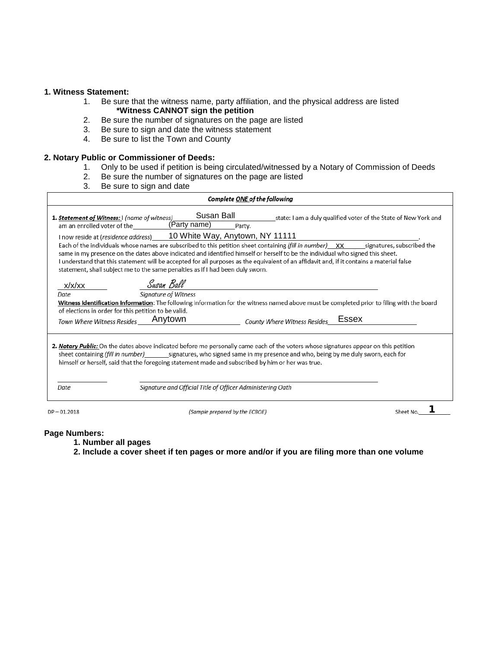#### **1. Witness Statement:**

- 1. Be sure that the witness name, party affiliation, and the physical address are listed  **\*Witness CANNOT sign the petition**
- 2. Be sure the number of signatures on the page are listed
- 3. Be sure to sign and date the witness statement
- 4. Be sure to list the Town and County

#### **2. Notary Public or Commissioner of Deeds:**

- 1. Only to be used if petition is being circulated/witnessed by a Notary of Commission of Deeds
- 2. Be sure the number of signatures on the page are listed
- 3. Be sure to sign and date

|                                                                                                      | Complete ONE of the following                                                                                                                                                                                                                                                                                                                                       |          |
|------------------------------------------------------------------------------------------------------|---------------------------------------------------------------------------------------------------------------------------------------------------------------------------------------------------------------------------------------------------------------------------------------------------------------------------------------------------------------------|----------|
| 1. Statement of Witness: I (name of witness)<br>am an enrolled voter of the                          | Susan Ball<br>state: I am a duly qualified voter of the State of New York and<br>(Party name)<br>Party.<br>I now reside at (residence address) 10 White Way, Anytown, NY 11111                                                                                                                                                                                      |          |
|                                                                                                      | same in my presence on the dates above indicated and identified himself or herself to be the individual who signed this sheet.<br>I understand that this statement will be accepted for all purposes as the equivalent of an affidavit and, if it contains a material false<br>statement, shall subject me to the same penalties as if I had been duly sworn.       |          |
| x/x/xx<br>Date<br>of elections in order for this petition to be valid.<br>Town Where Witness Resides | Susan Ball<br><b>Signature of Witness</b><br>Witness Identification Information: The following information for the witness named above must be completed prior to filing with the board<br>Essex<br>Anytown<br>County Where Witness Resides                                                                                                                         |          |
|                                                                                                      | 2. Notary Public: On the dates above indicated before me personally came each of the voters whose signatures appear on this petition<br>sheet containing (fill in number) signatures, who signed same in my presence and who, being by me duly sworn, each for<br>himself or herself, said that the foregoing statement made and subscribed by him or her was true. |          |
| <b>Date</b>                                                                                          | Signature and Official Title of Officer Administering Oath                                                                                                                                                                                                                                                                                                          |          |
| $DP - 01.2018$                                                                                       | (Sample prepared by the ECBOE)                                                                                                                                                                                                                                                                                                                                      | Sheet No |

#### **Page Numbers:**

- **1. Number all pages**
- **2. Include a cover sheet if ten pages or more and/or if you are filing more than one volume**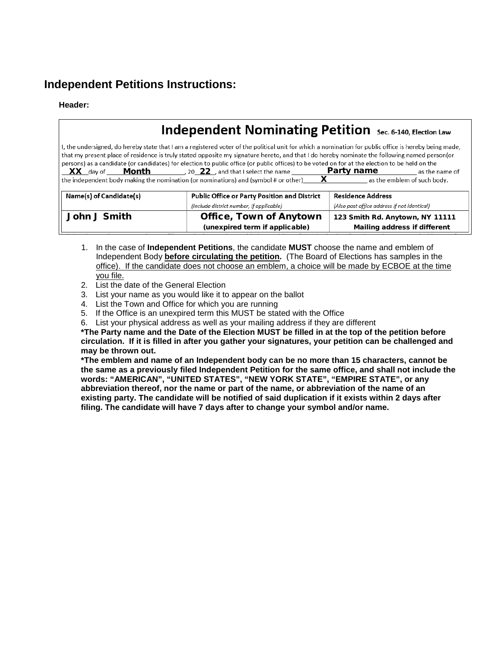## **Independent Petitions Instructions:**

#### **Header:**

## **Independent Nominating Petition** Sec. 6-140, Election Law

I, the undersigned, do hereby state that I am a registered voter of the political unit for which a nomination for public office is hereby being made, that my present place of residence is truly stated opposite my signature hereto, and that I do hereby nominate the following named person(or persons) as a candidate (or candidates) for election to public office (or public offices) to be voted on for at the election to be held on the  $\frac{XX}{X}$  day of  $\underline{\hspace{1cm}}$  **Month** 20 22, and that I select the name  $\underline{\hspace{1cm}}$  **Party name**<br>the independent body making the nomination (or nominations) and (symbol# or other)  $X$  as the as the name of Xas the emblem of such body.

| Name(s) of Candidate(s) | Public Office or Party Position and District | Residence Address                           |  |
|-------------------------|----------------------------------------------|---------------------------------------------|--|
|                         | (Include district number, if applicable)     | (Also post office address if not identical) |  |
| John J Smith            | <b>Office, Town of Anytown</b>               | 123 Smith Rd. Anytown, NY 11111             |  |
|                         | (unexpired term if applicable)               | Mailing address if different                |  |

- 1. In the case of **Independent Petitions**, the candidate **MUST** choose the name and emblem of Independent Body **before circulating the petition.** (The Board of Elections has samples in the office). If the candidate does not choose an emblem, a choice will be made by ECBOE at the time you file.
- 2. List the date of the General Election
- 3. List your name as you would like it to appear on the ballot
- 4. List the Town and Office for which you are running
- 5. If the Office is an unexpired term this MUST be stated with the Office
- 6. List your physical address as well as your mailing address if they are different

**\*The Party name and the Date of the Election MUST be filled in at the top of the petition before circulation. If it is filled in after you gather your signatures, your petition can be challenged and may be thrown out.**

**\*The emblem and name of an Independent body can be no more than 15 characters, cannot be the same as a previously filed Independent Petition for the same office, and shall not include the words: "AMERICAN", "UNITED STATES", "NEW YORK STATE", "EMPIRE STATE", or any abbreviation thereof, nor the name or part of the name, or abbreviation of the name of an existing party. The candidate will be notified of said duplication if it exists within 2 days after filing. The candidate will have 7 days after to change your symbol and/or name.**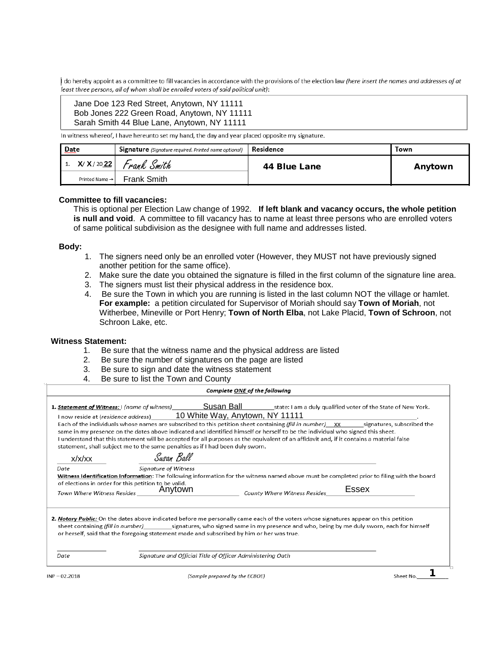I do hereby appoint as a committee to fill vacancies in accordance with the provisions of the election law (here insert the names and addresses of at least three persons, all of whom shall be enrolled voters of said political unit):

#### Jane Doe 123 Red Street, Anytown, NY 11111 Bob Jones 222 Green Road, Anytown, NY 11111 Sarah Smith 44 Blue Lane, Anytown, NY 11111

In witness whereof, I have hereunto set my hand, the day and year placed opposite my signature.

| Date                       | <b>Signature</b> (Signature required. Printed name optional) | Residence    | Town    |
|----------------------------|--------------------------------------------------------------|--------------|---------|
| X/ X/ 20 22                | Frank Smith                                                  | 44 Blue Lane | Anytown |
| Printed Name $\rightarrow$ | Frank Smith                                                  |              |         |

#### **Committee to fill vacancies:**

This is optional per Election Law change of 1992. **If left blank and vacancy occurs, the whole petition is null and void**. A committee to fill vacancy has to name at least three persons who are enrolled voters of same political subdivision as the designee with full name and addresses listed.

#### **Body:**

- 1. The signers need only be an enrolled voter (However, they MUST not have previously signed another petition for the same office).
- 2. Make sure the date you obtained the signature is filled in the first column of the signature line area.
- 3. The signers must list their physical address in the residence box.
- 4. Be sure the Town in which you are running is listed in the last column NOT the village or hamlet. **For example:** a petition circulated for Supervisor of Moriah should say **Town of Moriah**, not Witherbee, Mineville or Port Henry; **Town of North Elba**, not Lake Placid, **Town of Schroon**, not Schroon Lake, etc.

#### **Witness Statement:**

- 1. Be sure that the witness name and the physical address are listed
- 2. Be sure the number of signatures on the page are listed
- 3. Be sure to sign and date the witness statement
- 4. Be sure to list the Town and County

|                                                                                            |                                                                                                                                                       | Complete ONE of the following                                                                                                                                                                                                                                                                                                                                                                                      |           |
|--------------------------------------------------------------------------------------------|-------------------------------------------------------------------------------------------------------------------------------------------------------|--------------------------------------------------------------------------------------------------------------------------------------------------------------------------------------------------------------------------------------------------------------------------------------------------------------------------------------------------------------------------------------------------------------------|-----------|
|                                                                                            | I now reside at (residence address) 10 White Way, Anytown, NY 11111<br>statement, shall subject me to the same penalties as if I had been duly sworn. | Each of the individuals whose names are subscribed to this petition sheet containing (fill in number) xx signatures, subscribed the<br>same in my presence on the dates above indicated and identified himself or herself to be the individual who signed this sheet.<br>I understand that this statement will be accepted for all purposes as the equivalent of an affidavit and, if it contains a material false |           |
| x/x/xx                                                                                     | Susan Ball                                                                                                                                            |                                                                                                                                                                                                                                                                                                                                                                                                                    |           |
| Date<br>of elections in order for this petition to be valid.<br>Town Where Witness Resides | <b>Signature of Witness</b><br>Anytown                                                                                                                | Witness Identification Information: The following information for the witness named above must be completed prior to filing with the board<br>County Where Witness Resides                                                                                                                                                                                                                                         | Essex     |
|                                                                                            | or herself, said that the foregoing statement made and subscribed by him or her was true.                                                             | 2. Notary Public: On the dates above indicated before me personally came each of the voters whose signatures appear on this petition<br>sheet containing (fill in number) signatures, who signed same in my presence and who, being by me duly sworn, each for himself                                                                                                                                             |           |
| Date                                                                                       | Signature and Official Title of Officer Administering Oath                                                                                            |                                                                                                                                                                                                                                                                                                                                                                                                                    |           |
| $INP - 02.2018$                                                                            |                                                                                                                                                       | (Sample prepared by the ECBOE)                                                                                                                                                                                                                                                                                                                                                                                     | Sheet No. |

ample prepared by the ECBOE)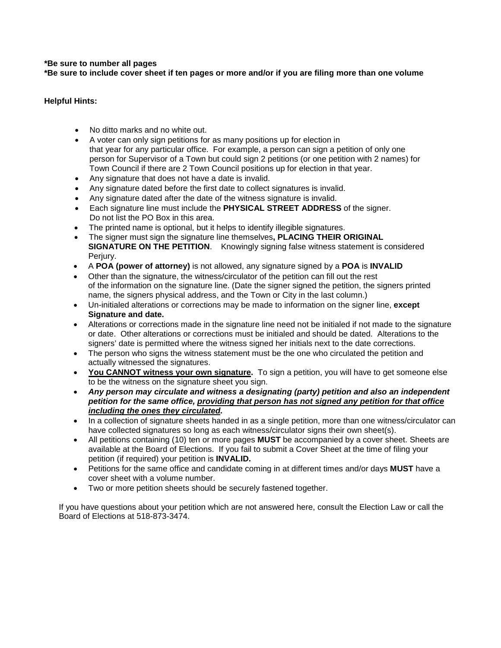#### **\*Be sure to number all pages**

**\*Be sure to include cover sheet if ten pages or more and/or if you are filing more than one volume**

#### **Helpful Hints:**

- No ditto marks and no white out.
- A voter can only sign petitions for as many positions up for election in that year for any particular office. For example, a person can sign a petition of only one person for Supervisor of a Town but could sign 2 petitions (or one petition with 2 names) for Town Council if there are 2 Town Council positions up for election in that year.
- Any signature that does not have a date is invalid.
- Any signature dated before the first date to collect signatures is invalid.
- Any signature dated after the date of the witness signature is invalid.
- Each signature line must include the **PHYSICAL STREET ADDRESS** of the signer. Do not list the PO Box in this area.
- The printed name is optional, but it helps to identify illegible signatures.
- The signer must sign the signature line themselves**, PLACING THEIR ORIGINAL SIGNATURE ON THE PETITION**. Knowingly signing false witness statement is considered Perjury.
- A **POA (power of attorney)** is not allowed, any signature signed by a **POA** is **INVALID**
- Other than the signature, the witness/circulator of the petition can fill out the rest of the information on the signature line. (Date the signer signed the petition, the signers printed name, the signers physical address, and the Town or City in the last column.)
- Un-initialed alterations or corrections may be made to information on the signer line, **except Signature and date.**
- Alterations or corrections made in the signature line need not be initialed if not made to the signature or date. Other alterations or corrections must be initialed and should be dated. Alterations to the signers' date is permitted where the witness signed her initials next to the date corrections.
- The person who signs the witness statement must be the one who circulated the petition and actually witnessed the signatures.
- **You CANNOT witness your own signature.** To sign a petition, you will have to get someone else to be the witness on the signature sheet you sign.
- *Any person may circulate and witness a designating (party) petition and also an independent petition for the same office, providing that person has not signed any petition for that office including the ones they circulated.*
- In a collection of signature sheets handed in as a single petition, more than one witness/circulator can have collected signatures so long as each witness/circulator signs their own sheet(s).
- All petitions containing (10) ten or more pages **MUST** be accompanied by a cover sheet. Sheets are available at the Board of Elections. If you fail to submit a Cover Sheet at the time of filing your petition (if required) your petition is **INVALID.**
- Petitions for the same office and candidate coming in at different times and/or days **MUST** have a cover sheet with a volume number.
- Two or more petition sheets should be securely fastened together.

If you have questions about your petition which are not answered here, consult the Election Law or call the Board of Elections at 518-873-3474.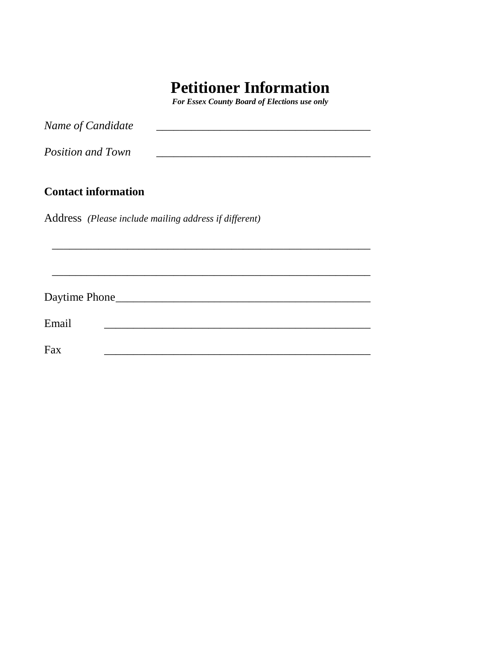# **Petitioner Information**

*For Essex County Board of Elections use only*

| Name of Candidate          |                                                       |  |  |
|----------------------------|-------------------------------------------------------|--|--|
| <b>Position and Town</b>   |                                                       |  |  |
| <b>Contact information</b> |                                                       |  |  |
|                            | Address (Please include mailing address if different) |  |  |
|                            |                                                       |  |  |
|                            |                                                       |  |  |
|                            |                                                       |  |  |
|                            | Daytime Phone                                         |  |  |
| Email                      |                                                       |  |  |
| Fax                        |                                                       |  |  |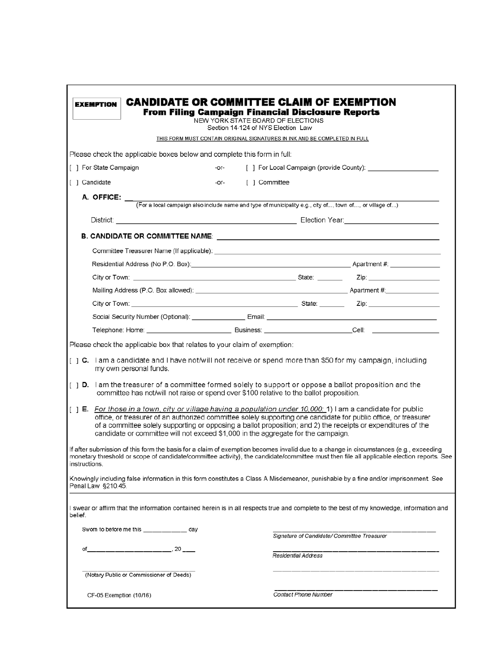| <b>EXEMPTION</b>                                                                                                                                                                                                                                                                                                                                                                                                                                                                                                                                                                                                                                                                                                                                                                                                                                                                                                               |        | <b>CANDIDATE OR COMMITTEE CLAIM OF EXEMPTION</b><br><b>From Filing Campaign Financial Disclosure Reports</b><br>NEW YORK STATE BOARD OF ELECTIONS |                                             |  |
|--------------------------------------------------------------------------------------------------------------------------------------------------------------------------------------------------------------------------------------------------------------------------------------------------------------------------------------------------------------------------------------------------------------------------------------------------------------------------------------------------------------------------------------------------------------------------------------------------------------------------------------------------------------------------------------------------------------------------------------------------------------------------------------------------------------------------------------------------------------------------------------------------------------------------------|--------|---------------------------------------------------------------------------------------------------------------------------------------------------|---------------------------------------------|--|
|                                                                                                                                                                                                                                                                                                                                                                                                                                                                                                                                                                                                                                                                                                                                                                                                                                                                                                                                |        | Section 14-124 of NYS Election Law                                                                                                                |                                             |  |
|                                                                                                                                                                                                                                                                                                                                                                                                                                                                                                                                                                                                                                                                                                                                                                                                                                                                                                                                |        | THIS FORM MUST CONTAIN ORIGINAL SIGNATURES IN INK AND BE COMPLETED IN FULL                                                                        |                                             |  |
| Please check the applicable boxes below and complete this form in full:                                                                                                                                                                                                                                                                                                                                                                                                                                                                                                                                                                                                                                                                                                                                                                                                                                                        |        |                                                                                                                                                   |                                             |  |
| [ ] For State Campaign                                                                                                                                                                                                                                                                                                                                                                                                                                                                                                                                                                                                                                                                                                                                                                                                                                                                                                         | $-OT-$ |                                                                                                                                                   |                                             |  |
| [ ] Candidate                                                                                                                                                                                                                                                                                                                                                                                                                                                                                                                                                                                                                                                                                                                                                                                                                                                                                                                  |        | -or- [ ] Committee                                                                                                                                |                                             |  |
|                                                                                                                                                                                                                                                                                                                                                                                                                                                                                                                                                                                                                                                                                                                                                                                                                                                                                                                                |        |                                                                                                                                                   |                                             |  |
|                                                                                                                                                                                                                                                                                                                                                                                                                                                                                                                                                                                                                                                                                                                                                                                                                                                                                                                                |        |                                                                                                                                                   |                                             |  |
| District: <u>New York: New York: New York: New York: New York: New York: New York: New York: New York: New York: New York: New York: New York: New York: New York: New York: New York: New York: New York: New York: New York: N</u>                                                                                                                                                                                                                                                                                                                                                                                                                                                                                                                                                                                                                                                                                           |        |                                                                                                                                                   |                                             |  |
|                                                                                                                                                                                                                                                                                                                                                                                                                                                                                                                                                                                                                                                                                                                                                                                                                                                                                                                                |        |                                                                                                                                                   |                                             |  |
| Committee Treasurer Name (If applicable): Letter and the contract of the contract of the contract of the contract of the contract of the contract of the contract of the contract of the contract of the contract of the contr                                                                                                                                                                                                                                                                                                                                                                                                                                                                                                                                                                                                                                                                                                 |        |                                                                                                                                                   |                                             |  |
|                                                                                                                                                                                                                                                                                                                                                                                                                                                                                                                                                                                                                                                                                                                                                                                                                                                                                                                                |        |                                                                                                                                                   |                                             |  |
|                                                                                                                                                                                                                                                                                                                                                                                                                                                                                                                                                                                                                                                                                                                                                                                                                                                                                                                                |        |                                                                                                                                                   |                                             |  |
|                                                                                                                                                                                                                                                                                                                                                                                                                                                                                                                                                                                                                                                                                                                                                                                                                                                                                                                                |        |                                                                                                                                                   |                                             |  |
|                                                                                                                                                                                                                                                                                                                                                                                                                                                                                                                                                                                                                                                                                                                                                                                                                                                                                                                                |        |                                                                                                                                                   |                                             |  |
|                                                                                                                                                                                                                                                                                                                                                                                                                                                                                                                                                                                                                                                                                                                                                                                                                                                                                                                                |        |                                                                                                                                                   |                                             |  |
|                                                                                                                                                                                                                                                                                                                                                                                                                                                                                                                                                                                                                                                                                                                                                                                                                                                                                                                                |        |                                                                                                                                                   |                                             |  |
| [ ] C. I am a candidate and I have not/will not receive or spend more than \$50 for my campaign, including<br>my own personal funds.<br>[ ] D. I am the treasurer of a committee formed solely to support or oppose a ballot proposition and the<br>committee has not/will not raise or spend over \$100 relative to the ballot proposition.<br>[ ] E. For those in a town, city or village having a population under 10,000: 1) I am a candidate for public<br>office, or treasurer of an authorized committee solely supporting one candidate for public office, or treasurer<br>of a committee solely supporting or opposing a ballot proposition; and 2) the receipts or expenditures of the<br>candidate or committee will not exceed \$1,000 in the aggregate for the campaign.<br>If after submission of this form the basis for a claim of exemption becomes invalid due to a change in circumstances (e.g., exceeding |        |                                                                                                                                                   |                                             |  |
| monetary threshold or scope of candidate/committee activity), the candidate/committee must then file all applicable election reports. See<br>instructions.                                                                                                                                                                                                                                                                                                                                                                                                                                                                                                                                                                                                                                                                                                                                                                     |        |                                                                                                                                                   |                                             |  |
| Knowingly including false information in this form constitutes a Class A Misdemeanor, punishable by a fine and/or imprisonment. See<br>Penal Law §210.45.                                                                                                                                                                                                                                                                                                                                                                                                                                                                                                                                                                                                                                                                                                                                                                      |        |                                                                                                                                                   |                                             |  |
| I swear or affirm that the information contained herein is in all respects true and complete to the best of my knowledge, information and<br>belief.                                                                                                                                                                                                                                                                                                                                                                                                                                                                                                                                                                                                                                                                                                                                                                           |        |                                                                                                                                                   |                                             |  |
| Sworn to before me this ___________ day                                                                                                                                                                                                                                                                                                                                                                                                                                                                                                                                                                                                                                                                                                                                                                                                                                                                                        |        |                                                                                                                                                   | Signature of Candidate/ Committee Treasurer |  |
| of                                                                                                                                                                                                                                                                                                                                                                                                                                                                                                                                                                                                                                                                                                                                                                                                                                                                                                                             |        | Residential Address                                                                                                                               |                                             |  |
| (Notary Public or Commissioner of Deeds)                                                                                                                                                                                                                                                                                                                                                                                                                                                                                                                                                                                                                                                                                                                                                                                                                                                                                       |        |                                                                                                                                                   |                                             |  |
| CF-05 Exemption (10/16)                                                                                                                                                                                                                                                                                                                                                                                                                                                                                                                                                                                                                                                                                                                                                                                                                                                                                                        |        | Contact Phone Number                                                                                                                              |                                             |  |